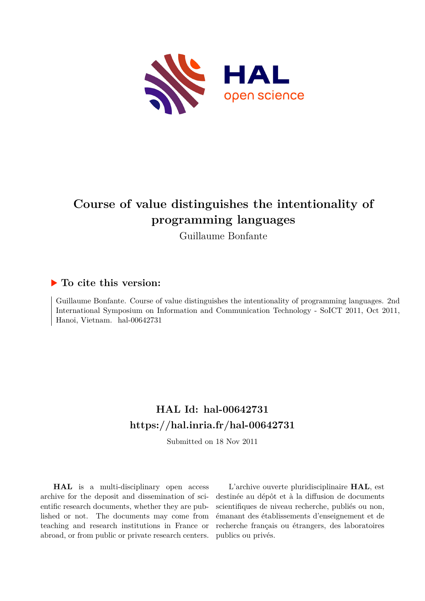

# **Course of value distinguishes the intentionality of programming languages**

Guillaume Bonfante

## **To cite this version:**

Guillaume Bonfante. Course of value distinguishes the intentionality of programming languages. 2nd International Symposium on Information and Communication Technology - SoICT 2011, Oct 2011, Hanoi, Vietnam. hal-00642731

## **HAL Id: hal-00642731 <https://hal.inria.fr/hal-00642731>**

Submitted on 18 Nov 2011

**HAL** is a multi-disciplinary open access archive for the deposit and dissemination of scientific research documents, whether they are published or not. The documents may come from teaching and research institutions in France or abroad, or from public or private research centers.

L'archive ouverte pluridisciplinaire **HAL**, est destinée au dépôt et à la diffusion de documents scientifiques de niveau recherche, publiés ou non, émanant des établissements d'enseignement et de recherche français ou étrangers, des laboratoires publics ou privés.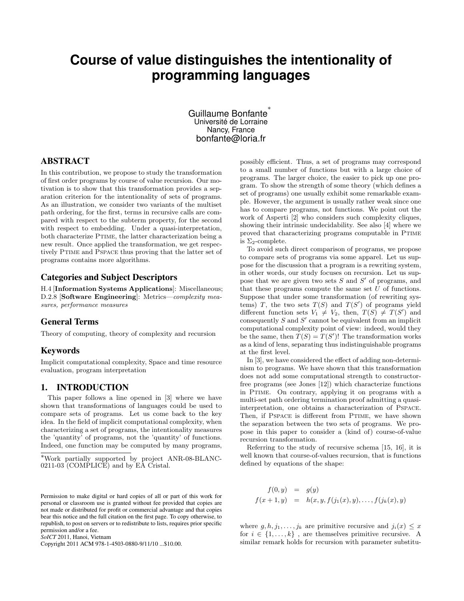## **Course of value distinguishes the intentionality of programming languages**

Guillaume Bonfante ∗ Université de Lorraine Nancy, France bonfante@loria.fr

## ABSTRACT

In this contribution, we propose to study the transformation of first order programs by course of value recursion. Our motivation is to show that this transformation provides a separation criterion for the intentionality of sets of programs. As an illustration, we consider two variants of the multiset path ordering, for the first, terms in recursive calls are compared with respect to the subterm property, for the second with respect to embedding. Under a quasi-interpretation, both characterize PTIME, the latter characterization being a new result. Once applied the transformation, we get respectively PTIME and PSPACE thus proving that the latter set of programs contains more algorithms.

#### Categories and Subject Descriptors

H.4 [Information Systems Applications]: Miscellaneous; D.2.8 [Software Engineering]: Metrics—complexity measures, performance measures

#### General Terms

Theory of computing, theory of complexity and recursion

#### Keywords

Implicit computational complexity, Space and time resource evaluation, program interpretation

## 1. INTRODUCTION

This paper follows a line opened in [3] where we have shown that transformations of languages could be used to compare sets of programs. Let us come back to the key idea. In the field of implicit computational complexity, when characterizing a set of programs, the intentionality measures the 'quantity' of programs, not the 'quantity' of functions. Indeed, one function may be computed by many programs,

possibly efficient. Thus, a set of programs may correspond to a small number of functions but with a large choice of programs. The larger choice, the easier to pick up one program. To show the strength of some theory (which defines a set of programs) one usually exhibit some remarkable example. However, the argument is usually rather weak since one has to compare programs, not functions. We point out the work of Asperti [2] who considers such complexity cliques, showing their intrinsic undecidability. See also [4] where we proved that characterizing programs computable in Ptime is  $\Sigma_2$ -complete.

To avoid such direct comparison of programs, we propose to compare sets of programs via some apparel. Let us suppose for the discussion that a program is a rewriting system, in other words, our study focuses on recursion. Let us suppose that we are given two sets  $S$  and  $S'$  of programs, and that these programs compute the same set  $U$  of functions. Suppose that under some transformation (of rewriting systems) T, the two sets  $T(S)$  and  $T(S')$  of programs yield different function sets  $V_1 \neq V_2$ , then,  $T(S) \neq T(S')$  and consequently  $S$  and  $S'$  cannot be equivalent from an implicit computational complexity point of view: indeed, would they be the same, then  $T(S) = T(S')!$  The transformation works as a kind of lens, separating thus indistinguishable programs at the first level.

In [3], we have considered the effect of adding non-determinism to programs. We have shown that this transformation does not add some computational strength to constructorfree programs (see Jones [12]) which characterize functions in Ptime. On contrary, applying it on programs with a multi-set path ordering termination proof admitting a quasiinterpretation, one obtains a characterization of Pspace. Then, if PSPACE is different from PTIME, we have shown the separation between the two sets of programs. We propose in this paper to consider a (kind of) course-of-value recursion transformation.

Referring to the study of recursive schema [15, 16], it is well known that course-of-values recursion, that is functions defined by equations of the shape:

$$
f(0, y) = g(y)
$$
  

$$
f(x + 1, y) = h(x, y, f(j_1(x), y), \dots, f(j_k(x), y)
$$

where  $g, h, j_1, \ldots, j_k$  are primitive recursive and  $j_i(x) \leq x$ for  $i \in \{1, \ldots, k\}$ , are themselves primitive recursive. A similar remark holds for recursion with parameter substitu-

*SoICT* 2011, Hanoi, Vietnam

Copyright 2011 ACM 978-1-4503-0880-9/11/10 ...\$10.00.

<sup>∗</sup>Work partially supported by project ANR-08-BLANC-0211-03 (COMPLICE) and by EA Cristal.

Permission to make digital or hard copies of all or part of this work for personal or classroom use is granted without fee provided that copies are not made or distributed for profit or commercial advantage and that copies bear this notice and the full citation on the first page. To copy otherwise, to republish, to post on servers or to redistribute to lists, requires prior specific permission and/or a fee.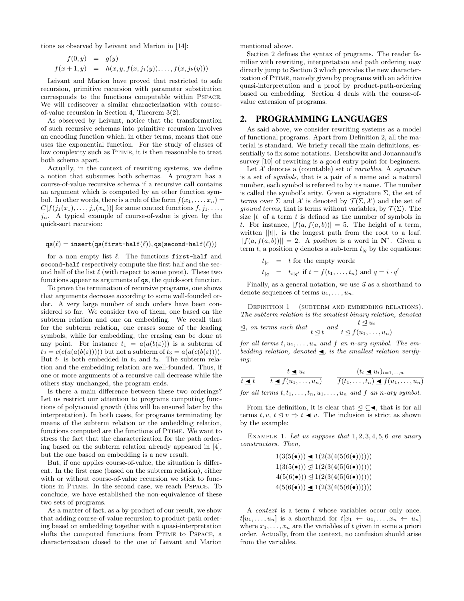tions as observed by Leivant and Marion in [14]:

$$
f(0, y) = g(y)
$$
  

$$
f(x+1, y) = h(x, y, f(x, j_1(y)), \dots, f(x, j_k(y)))
$$

Leivant and Marion have proved that restricted to safe recursion, primitive recursion with parameter substitution corresponds to the functions computable within Pspace. We will rediscover a similar characterization with courseof-value recursion in Section 4, Theorem 3(2).

As observed by Leivant, notice that the transformation of such recursive schemas into primitive recursion involves an encoding function which, in other terms, means that one uses the exponential function. For the study of classes of low complexity such as PTIME, it is then reasonable to treat both schema apart.

Actually, in the context of rewriting systems, we define a notion that subsumes both schemas. A program has a course-of-value recursive schema if a recursive call contains an argument which is computed by an other function symbol. In other words, there is a rule of the form  $f(x_1, \ldots, x_n) =$  $C[f(j_1(x_1), \ldots, j_n(x_n))]$  for some context functions  $f, j_1, \ldots, j_n(x_n)$  $j_n$ . A typical example of course-of-value is given by the quick-sort recursion:

$$
\mathtt{qs}(\ell) = \mathtt{insert}(\mathtt{qs}(\mathtt{first-half}(\ell)), \mathtt{qs}(\mathtt{second-half}(\ell)))
$$

for a non empty list  $\ell$ . The functions first-half and second-half respectively compute the first half and the second half of the list  $\ell$  (with respect to some pivot). These two functions appear as arguments of qs, the quick-sort function.

To prove the termination of recursive programs, one shows that arguments decrease according to some well-founded order. A very large number of such orders have been considered so far. We consider two of them, one based on the subterm relation and one on embedding. We recall that for the subterm relation, one erases some of the leading symbols, while for embedding, the erasing can be done at any point. For instance  $t_1 = a(a(b(\varepsilon)))$  is a subterm of  $t_2 = c(c(a(a(b(\varepsilon))))$  but not a subterm of  $t_3 = a(a(c(b(\varepsilon))))$ . But  $t_1$  is both embedded in  $t_2$  and  $t_3$ . The subterm relation and the embedding relation are well-founded. Thus, if one or more arguments of a recursive call decrease while the others stay unchanged, the program ends.

Is there a main difference between these two orderings? Let us restrict our attention to programs computing functions of polynomial growth (this will be ensured later by the interpretation). In both cases, for programs terminating by means of the subterm relation or the embedding relation, functions computed are the functions of PTIME. We want to stress the fact that the characterization for the path ordering based on the subterm relation already appeared in [4], but the one based on embedding is a new result.

But, if one applies course-of-value, the situation is different. In the first case (based on the subterm relation), either with or without course-of-value recursion we stick to functions in Ptime. In the second case, we reach Pspace. To conclude, we have established the non-equivalence of these two sets of programs.

As a matter of fact, as a by-product of our result, we show that adding course-of-value recursion to product-path ordering based on embedding together with a quasi-interpretation shifts the computed functions from PTIME to PSPACE, a characterization closed to the one of Leivant and Marion

mentioned above.

Section 2 defines the syntax of programs. The reader familiar with rewriting, interpretation and path ordering may directly jump to Section 3 which provides the new characterization of Ptime, namely given by programs with an additive quasi-interpretation and a proof by product-path-ordering based on embedding. Section 4 deals with the course-ofvalue extension of programs.

### 2. PROGRAMMING LANGUAGES

As said above, we consider rewriting systems as a model of functional programs. Apart from Definition 2, all the material is standard. We briefly recall the main definitions, essentially to fix some notations. Dershowitz and Jouannaud's survey [10] of rewriting is a good entry point for beginners.

Let  $X$  denotes a (countable) set of variables. A signature is a set of symbols, that is a pair of a name and a natural number, each symbol is referred to by its name. The number is called the symbol's arity. Given a signature  $\Sigma$ , the set of terms over  $\Sigma$  and  $\mathcal X$  is denoted by  $\mathcal T(\Sigma,\mathcal X)$  and the set of *ground terms*, that is terms without variables, by  $\mathcal{T}(\Sigma)$ . The size  $|t|$  of a term t is defined as the number of symbols in t. For instance,  $|f(a, f(a, b))| = 5$ . The height of a term, written  $||t||$ , is the longest path from the root to a leaf.  $||f(a, f(a, b))|| = 2$ . A position is a word in N<sup>\*</sup>. Given a term t, a position q denotes a sub-term  $t_{\vert q}$  by the equations:

$$
t_{|\varepsilon}
$$
 = t for the empty word  
\n $t_{|q}$  =  $t_{i|q'}$  if  $t = f(t_1,..., t_n)$  and  $q = i \cdot q'$ 

Finally, as a general notation, we use  $\vec{u}$  as a shorthand to denote sequences of terms  $u_1, \ldots, u_n$ .

DEFINITION 1 (SUBTERM AND EMBEDDING RELATIONS). The subterm relation is the smallest binary relation, denoted

$$
\leq, \text{ on terms such that } \frac{t \leq u_i}{t \leq t} \text{ and } \frac{t \leq u_i}{t \leq f(u_1, \ldots, u_n)}
$$

for all terms  $t, u_1, \ldots, u_n$  and f an n-ary symbol. The embedding relation, denoted  $\blacktriangleleft$ , is the smallest relation verifying:

$$
\frac{t \blacktriangleleft u_i}{t \blacktriangleleft f(u_1,\ldots,u_n)} \qquad \frac{(t_i \blacktriangleleft u_i)_{i=1,\ldots,n}}{f(t_1,\ldots,t_n) \blacktriangleleft f(u_1,\ldots,u_n)}
$$

for all terms  $t, t_1, \ldots, t_n, u_1, \ldots, u_n$  and f an n-ary symbol.

From the definition, it is clear that  $\leq \leq \leq$ , that is for all terms  $t, v, t \leq v \Rightarrow t \triangleleft v$ . The inclusion is strict as shown by the example:

EXAMPLE 1. Let us suppose that  $1, 2, 3, 4, 5, 6$  are unary constructors. Then,

$$
1(3(5(\bullet))) \le 1(2(3(4(5(6(\bullet))))))1(3(5(\bullet))) \not\supseteq 1(2(3(4(5(6(\bullet))))))4(5(6(\bullet))) \le 1(2(3(4(5(6(\bullet))))))4(5(6(\bullet))) \le 1(2(3(4(5(6(\bullet))))))
$$

A context is a term t whose variables occur only once.  $t[u_1, \ldots, u_n]$  is a shorthand for  $t[x_1 \leftarrow u_1, \ldots, x_n \leftarrow u_n]$ where  $x_1, \ldots, x_n$  are the variables of t given in some a priori order. Actually, from the context, no confusion should arise from the variables.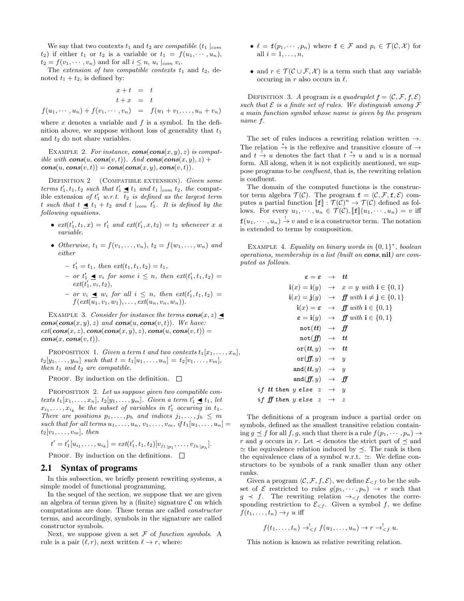We say that two contexts  $t_1$  and  $t_2$  are compatible  $(t_1)_{com}$  $t_2$ ) if either  $t_1$  or  $t_2$  is a variable or  $t_1 = f(u_1, \dots, u_n)$ ,  $t_2 = f(v_1, \dots, v_n)$  and for all  $i \leq n$ ,  $u_i \mid_{com} v_i$ .

The extension of two compatible contexts  $t_1$  and  $t_2$ , denoted  $t_1 + t_2$ , is defined by:

$$
x + t = t
$$
  
\n
$$
t + x = t
$$
  
\n
$$
f(u_1, \dots, u_n) + f(v_1, \dots, v_n) = f(u_1 + v_1, \dots, u_n + v_n)
$$

where  $x$  denotes a variable and  $f$  is a symbol. In the definition above, we suppose without loss of generality that  $t_1$ and  $t_2$  do not share variables.

EXAMPLE 2. For instance,  $\cos(\cos(x, y), z)$  is compatible with  $\cos(u, \cos(v, t))$ . And  $\cos(\cos(x, y), z)$  +  $cons(u, cons(v, t)) = cons(cons(x, y), cons(v, t)).$ 

DEFINITION 2 (COMPATIBLE EXTENSION). Given some terms  $t'_1, t_1, t_2$  such that  $t'_1 \trianglelefteq t_1$  and  $t_1 \mid_{com} t_2$ , the compatible extension of  $t_1'$  w.r.t.  $t_2$  is defined as the largest term t such that  $t \triangleq t_1 + t_2$  and  $t \mid_{com} t'_1$ . It is defined by the following equations.

- $ext(t'_1, t_1, x) = t'_1$  and  $ext(t'_1, x, t_2) = t_2$  whenever x a variable.
- Otherwise,  $t_1 = f(v_1, \ldots, v_n)$ ,  $t_2 = f(w_1, \ldots, w_n)$  and either
	- $-t'_1 = t_1$ , then  $ext(t_1, t_1, t_2) = t_1$ ,
	- $-$  or  $t'_1 \trianglelefteq v_i$  for some  $i \leq n$ , then  $ext(t'_1, t_1, t_2) =$  $ext(t'_1,\overline{v}_i,t_2),$
	- $-$  or  $v_i \trianglelefteq w_i$  for all  $i \leq n$ , then  $ext(t'_1, t_1, t_2) =$  $f(\text{ext}(u_1, v_1, w_1), \ldots, \text{ext}(u_n, v_n, w_n)).$

EXAMPLE 3. Consider for instance the terms  $\mathbf{cons}(x, z) \trianglelefteq$  $\mathbf{cons}(\mathbf{cons}(x, y), z)$  and  $\mathbf{cons}(u, \mathbf{cons}(v, t))$ . We have:  $ext(cons(x, z), cons(cons(x, y), z), cons(u, cons(v, t)) =$  $cons(x, cons(v, t)).$ 

PROPOSITION 1. Given a term t and two contexts  $t_1[x_1, \ldots, x_n]$ ,  $t_2[y_1, \ldots, y_m]$  such that  $t = t_1[u_1, \ldots, u_n] = t_2[v_1, \ldots, v_m],$ then  $t_1$  and  $t_2$  are compatible.

PROOF. By induction on the definition.  $\Box$ 

PROPOSITION 2. Let us suppose given two compatible contexts  $t_1[x_1,\ldots,x_n], t_2[y_1,\ldots,y_m].$  Given a term  $t'_1 \trianglelefteq t_1$ , let  $x_{i_1}, \ldots, x_{i_k}$  be the subset of variables in  $t'_1$  occuring in  $t_1$ . There are positions  $p_1, \ldots, p_h$  and indices  $j_1, \ldots, j_h \leq m$ such that for all terms  $u_1, \ldots, u_n, v_1, \ldots, v_m$ , if  $t_1[u_1, \ldots, u_n] =$  $t_2[v_1, \ldots, v_m],$  then

$$
t' = t'_1[u_{i_1}, \ldots, u_{i_k}] = ext(t'_1, t_1, t_2)[v_{j_1}|_{p_1}, \ldots, v_{j_h}|_{p_h}].
$$

PROOF. By induction on the definitions.  $\Box$ 

#### 2.1 Syntax of programs

In this subsection, we briefly present rewriting systems, a simple model of functional programming.

In the sequel of the section, we suppose that we are given an algebra of terms given by a (finite) signature  $\mathcal C$  on which computations are done. These terms are called constructor terms, and accordingly, symbols in the signature are called constructor symbols.

Next, we suppose given a set  $\mathcal F$  of function symbols. A rule is a pair  $(\ell, r)$ , next written  $\ell \to r$ , where:

- $\ell = \mathbf{f}(p_1, \dots, p_n)$  where  $\mathbf{f} \in \mathcal{F}$  and  $p_i \in \mathcal{T}(\mathcal{C}, \mathcal{X})$  for all  $i = 1, \ldots, n$ ,
- and  $r \in \mathcal{T}(\mathcal{C} \cup \mathcal{F}, \mathcal{X})$  is a term such that any variable occuring in r also occurs in  $\ell$ .

DEFINITION 3. A program is a quadruplet  $f = \langle C, \mathcal{F}, f, \mathcal{E} \rangle$ such that  $\mathcal E$  is a finite set of rules. We distinguish among  $\mathcal F$ a main function symbol whose name is given by the program name f.

The set of rules induces a rewriting relation written  $\rightarrow$ . The relation  $\stackrel{*}{\rightarrow}$  is the reflexive and transitive closure of  $\rightarrow$ and  $t \stackrel{!}{\rightarrow} u$  denotes the fact that  $t \stackrel{*}{\rightarrow} u$  and u is a normal form. All along, when it is not explicitly mentioned, we suppose programs to be confluent, that is, the rewriting relation is confluent.

The domain of the computed functions is the constructor term algebra  $\mathcal{T}(\mathcal{C})$ . The program  $\mathbf{f} = \langle \mathcal{C}, \mathcal{F}, \mathbf{f}, \mathcal{E} \rangle$  computes a partial function  $[\![\mathbf{f}]\!] : \mathcal{T}(\mathcal{C})^n \to \mathcal{T}(\mathcal{C})$  defined as fol-<br>lows For every  $u_k$ , see  $\mathcal{T}(\mathcal{C})$   $[\![\mathbf{f}]\!] (u_k, \ldots, u_k) = u_j \text{ iff }$ lows. For every  $u_1, \dots, u_n \in \mathcal{T}(\mathcal{C}), \llbracket \mathbf{f} \rrbracket(u_1, \dots, u_n) = v$  iff  $f(u_1, \dots, u_n) \to v$  and v is a constructor term. The notation is extended to terms by composition.

EXAMPLE 4. Equality on binary words in  ${0,1}^*$ , boolean operations, membership in a list (built on cons, nil) are computed as follows.

$$
\varepsilon = \varepsilon \rightarrow tt
$$
\n
$$
\mathbf{i}(x) = \mathbf{i}(y) \rightarrow x = y \text{ with } \mathbf{i} \in \{0, 1\}
$$
\n
$$
\mathbf{i}(x) = \mathbf{j}(y) \rightarrow ff \text{ with } \mathbf{i} \neq \mathbf{j} \in \{0, 1\}
$$
\n
$$
\mathbf{i}(x) = \varepsilon \rightarrow ff \text{ with } \mathbf{i} \in \{0, 1\}
$$
\n
$$
\varepsilon = \mathbf{i}(y) \rightarrow ff \text{ with } \mathbf{i} \in \{0, 1\}
$$
\n
$$
\text{not}(tt) \rightarrow ff
$$
\n
$$
\text{not}(ft) \rightarrow tt
$$
\n
$$
\text{or}(tf, y) \rightarrow t
$$
\n
$$
\text{or}(ff, y) \rightarrow y
$$
\n
$$
\text{and}(tt, y) \rightarrow y
$$
\n
$$
\text{and}(ff, y) \rightarrow ff
$$
\n
$$
\text{then } y \text{ else } z \rightarrow y
$$
\n
$$
\text{then } y \text{ else } z \rightarrow z
$$

The definitions of a program induce a partial order on symbols, defined as the smallest transitive relation containing  $g \preceq f$  for all  $f, g$ , such that there is a rule  $f(p_1, \dots, p_n) \to$ r and g occurs in r. Let  $\prec$  denotes the strict part of  $\preceq$  and  $\simeq$  the equivalence relation induced by  $\preceq$ . The rank is then the equivalence class of a symbol w.r.t.  $\approx$ . We define constructors to be symbols of a rank smaller than any other ranks.

 $if$  tt  $if$   $f$ 

Given a program  $\langle \mathcal{C}, \mathcal{F}, f, \mathcal{E} \rangle$ , we define  $\mathcal{E}_{\leq f}$  to be the subset of  $\mathcal E$  restricted to rules  $g(p_1, \dots, p_n) \to r$  such that  $g \prec f$ . The rewriting relation  $\rightarrow_{\leq f}$  denotes the corresponding restriction to  $\mathcal{E}_{\leq f}$ . Given a symbol f, we define  $f(t_1,\ldots,t_n)\rightarrow_f u$  iff

$$
f(t_1,\ldots,t_n)\to_{
$$

This notion is known as relative rewriting relation.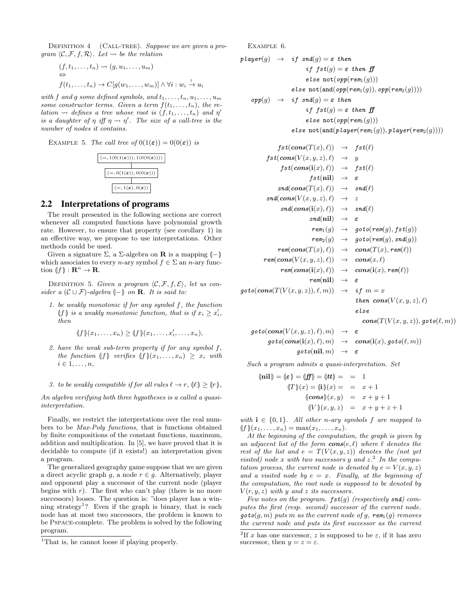DEFINITION  $4$  (CALL-TREE). Suppose we are given a program  $\langle \mathcal{C}, \mathcal{F}, f, \mathcal{R} \rangle$ . Let  $\leadsto$  be the relation

$$
(f, t_1, \ldots, t_n) \rightsquigarrow (g, u_1, \ldots, u_m)
$$
  
\n
$$
\Leftrightarrow
$$
  
\n
$$
f(t_1, \ldots, t_n) \rightarrow C[g(w_1, \ldots, w_m)] \land \forall i : w_i \stackrel{!}{\rightarrow} u_i
$$

with f and g some defined symbols, and  $t_1, \ldots, t_n, u_1, \ldots, u_m$ some constructor terms. Given a term  $f(t_1, \ldots, t_n)$ , the relation  $\rightsquigarrow$  defines a tree whose root is  $(f, t_1, \ldots, t_n)$  and  $\eta'$ is a daughter of  $\eta$  iff  $\eta \rightsquigarrow \eta'$ . The size of a call-tree is the number of nodes it contains.

EXAMPLE 5. The call tree of  $0(1(\epsilon)) = 0(0(\epsilon))$  is



#### 2.2 Interpretations of programs

The result presented in the following sections are correct whenever all computed functions have polynomial growth rate. However, to ensure that property (see corollary 1) in an effective way, we propose to use interpretations. Other methods could be used.

Given a signature  $\Sigma$ , a  $\Sigma$ -algebra on **R** is a mapping  $\Vert - \Vert$ which associates to every n-ary symbol  $f \in \Sigma$  an n-ary function  $\langle f | \cdot, \mathbf{R}^n \to \mathbf{R} \rangle$ .

DEFINITION 5. Given a program  $\langle \mathcal{C}, \mathcal{F}, f, \mathcal{E} \rangle$ , let us consider a  $(C \cup F)$ -algebra  $\vert - \vert$  on **R**. It is said to:

1. be weakly monotonic if for any symbol f, the function  $(\text{If})$  is a weakly monotonic function, that is if  $x_i \geq x'_i$ ,<br>then then

$$
(f)(x_1,\ldots,x_n)\geq (f)(x_1,\ldots,x'_i,\ldots,x_n),
$$

- 2. have the weak sub-term property if for any symbol f, the function  $\|f\|$  verifies  $\|f\|(x_1, \ldots, x_n) \geq x_i$  with  $i \in 1, \ldots, n$ ,
- 3. to be weakly compatible if for all rules  $\ell \to r$ ,  $\ell \ell \geq r$ ,

An algebra verifying both three hypotheses is a called a quasiinterpretation.

Finally, we restrict the interpretations over the real numbers to be Max-Poly functions, that is functions obtained by finite compositions of the constant functions, maximum, addition and multiplication. In [5], we have proved that it is decidable to compute (if it exists!) an interpretation given a program.

The generalized geography game suppose that we are given a direct acyclic graph q, a node  $r \in q$ . Alternatively, player and opponent play a successor of the current node (player begins with r). The first who can't play (there is no more successors) looses. The question is: "does player has a winning strategy<sup>1</sup>? Even if the graph is binary, that is each node has at most two successors, the problem is known to be Pspace-complete. The problem is solved by the following program.

Example 6.

player(g) → if snd(g) = ε then if fst(g) = ε then ff else not(opp(rem1(g))) else not(and(opp(rem1(g)), opp(rem2(g)))) opp(g) → if snd(g) = ε then if fst(g) = ε then ff else not(opp(rem1(g))) else not(and(player(rem1(g)), player(rem2(g)))) fst(cons(T(x), `)) → fst(`) fst(cons(V (x, y, z), `) → y fst(cons(i(x), `)) → fst(`) fst(nil) → ε snd(cons(T(x), `)) → snd(`) snd(cons(V (x, y, z), `) → z snd(cons(i(x), `)) → snd(`) snd(nil) → ε rem1(g) → goto(rem(g), fst(g)) rem2(g) → goto(rem(g), snd(g)) rem(cons(T(x), `)) → cons(T(x), rem(`))

$$
\begin{array}{rcl} \mathit{rem}(\mathit{cons}(I\left(\mathit{x}),\ell)\right) & \rightarrow & \mathit{cons}(I\left(\mathit{x}),\mathit{rem}(\ell)\right) \\[1ex] \mathit{rem}(\mathit{cons}(V(\mathit{x},y,z),\ell)) & \rightarrow & \mathit{cons}(\mathit{x},\ell) \\[1ex] \mathit{rem}(\mathit{cons}(\mathbf{i}(x),\ell)) & \rightarrow & \mathit{cons}(\mathbf{i}(x),\mathit{rem}(\ell)) \\[1ex] \mathit{rem}(\mathbf{nil}) & \rightarrow & \varepsilon \\[1ex] \mathit{goto}(\mathit{cons}(T(V(\mathit{x},y,z)),\ell,m)) & \rightarrow & \mathit{if} \ \mathit{m} = \mathit{x} \\[1ex] \mathit{theness} \ \mathit{cons}(V(\mathit{x},y,z)) \end{array}
$$

then 
$$
cons(V(x, y, z), \ell)
$$
   
else

 $\mathbf{cons}(T(V(x, y, z)), \mathbf{goto}(\ell, m))$ 

$$
\begin{array}{rcl} \textit{goto}(\textit{cons}(V(x,y,z),\ell),m) & \rightarrow & \varepsilon \\ \textit{goto}(\textit{cons}(\textbf{i}(x),\ell),m) & \rightarrow & \textit{cons}(\textbf{i}(x),\textit{goto}(\ell,m)) \\ \textit{goto}(\textbf{nil},m) & \rightarrow & \varepsilon \end{array}
$$

Such a program admits a quasi-interpretation. Set

$$
(\text{nil}) = (\varepsilon) = (\text{ff}) = (tt) = 1
$$
  
\n
$$
(T)(x) = (\text{il})(x) = 1 = x + 1
$$
  
\n
$$
(\text{cons})(x, y) = x + y + 1
$$
  
\n
$$
(V)(x, y, z) = x + y + z + 1
$$

with  $i \in \{0, 1\}$ . All other n-ary symbols f are mapped to  $\{f\}(x_1, \ldots, x_n) = \max(x_1, \ldots, x_n).$ 

At the beginning of the computation, the graph is given by an adjacent list of the form  $\mathbf{cons}(e, \ell)$  where  $\ell$  denotes the rest of the list and  $e = T(V(x, y, z))$  denotes the (not yet visited) node x with two successors y and  $z^2$ . In the computation process, the current node is denoted by  $e = V(x, y, z)$ and a visited node by  $e = x$ . Finally, at the beginning of the computation, the root node is supposed to be denoted by  $V(r, y, z)$  with y and z its successors.

Few notes on the program.  $fst(g)$  (respectively snd) computes the first (resp. second) successor of the current node.  $\mathfrak{goto}(g,m)$  puts m as the current node of g, rem<sub>1</sub>(g) removes the current node and puts its first successor as the current

<sup>&</sup>lt;sup>1</sup>That is, he cannot loose if playing properly.

<sup>&</sup>lt;sup>2</sup>If x has one successor, z is supposed to be  $\varepsilon$ , if it has zero successor, then  $y = z = \varepsilon$ .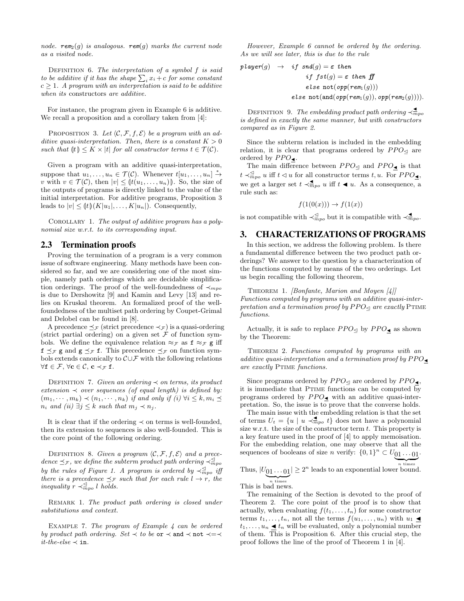node. rem<sub>2</sub>(g) is analogous. rem(g) marks the current node as a visited node.

DEFINITION 6. The interpretation of a symbol  $f$  is said to be additive if it has the shape  $\sum_i x_i + c$  for some constant  $c > 1$ . A program with an interpretation is said to be additive when its constructors are additive.

For instance, the program given in Example 6 is additive. We recall a proposition and a corollary taken from [4]:

PROPOSITION 3. Let  $\langle \mathcal{C}, \mathcal{F}, f, \mathcal{E} \rangle$  be a program with an additive quasi-interpretation. Then, there is a constant  $K > 0$ such that  $|t| \leq K \times |t|$  for all constructor terms  $t \in \mathcal{T}(\mathcal{C})$ .

Given a program with an additive quasi-interpretation, suppose that  $u_1, \ldots, u_n \in \mathcal{T}(\mathcal{C})$ . Whenever  $t[u_1, \ldots, u_n] \stackrel{*}{\rightarrow}$ v with  $v \in \mathcal{T}(\mathcal{C})$ , then  $|v| \leq (t(u_1, \ldots, u_n))$ . So, the size of the outputs of programs is directly linked to the value of the initial interpretation. For additive programs, Proposition 3 leads to  $|v| \leq (t)(K|u_1|, \ldots, K|u_n|)$ . Consequently,

COROLLARY 1. The output of additive program has a polynomial size w.r.t. to its corresponding input.

#### 2.3 Termination proofs

Proving the termination of a program is a very common issue of software engineering. Many methods have been considered so far, and we are considering one of the most simple, namely path orderings which are decidable simplification orderings. The proof of the well-foundedness of  $\prec_{mpo}$ is due to Dershowitz [9] and Kamin and Levy [13] and relies on Kruskal theorem. An formalized proof of the wellfoundedness of the multiset path ordering by Coupet-Grimal and Delobel can be found in [8].

A precedence  $\prec_{\mathcal{F}}$  (strict precedence  $\prec_{\mathcal{F}}$ ) is a quasi-ordering (strict partial ordering) on a given set  $\mathcal F$  of function symbols. We define the equivalence relation  $\approx_{\mathcal{F}}$  as  $f \approx_{\mathcal{F}} g$  iff  $f \prec_F g$  and  $g \prec_F f$ . This precedence  $\prec_F$  on function symbols extends canonically to  $\mathcal{C}\cup\mathcal{F}$  with the following relations  $\forall \mathtt{f}\in\mathcal{F},\, \forall \mathtt{c}\in\mathcal{C},\, \mathtt{c} \prec_{\mathcal{F}} \mathtt{f}.$ 

DEFINITION 7. Given an ordering  $\prec$  on terms, its product extension  $\prec$  over sequences (of equal length) is defined by:  $(m_1, \dots, m_k) \prec (n_1, \dots, n_k)$  if and only if (i)  $\forall i \leq k, m_i \preceq$  $n_i$  and  $(ii) \exists j \leq k$  such that  $m_j \prec n_j$ .

It is clear that if the ordering  $\prec$  on terms is well-founded, then its extension to sequences is also well-founded. This is the core point of the following ordering.

DEFINITION 8. Given a program  $\langle \mathcal{C}, \mathcal{F}, f, \mathcal{E} \rangle$  and a precedence  $\preceq_{\mathcal{F}}$ , we define the subterm product path ordering  $\prec_{mpo}^{\leq}$ by the rules of Figure 1. A program is ordered by  $\prec_{mpo}^{\mathcal{L}}$  iff there is a precedence  $\preceq_{\mathcal{F}}$  such that for each rule  $l \to r$ , the inequality  $r \prec_{mpo}^{\leq} l$  holds.

REMARK 1. The product path ordering is closed under substitutions and context.

EXAMPLE 7. The program of Example 4 can be ordered by product path ordering. Set  $\prec$  to be or  $\prec$  and  $\prec$  not  $\prec = \prec$ it-the-else  $\prec$  in.

However, Example 6 cannot be ordered by the ordering. As we will see later, this is due to the rule

$$
\begin{array}{lcl} \textit{player}(g) & \rightarrow & \textit{if} \ \textit{snd}(g) = \varepsilon \ \textit{then} \\ & & \textit{if} \ \textit{fst}(g) = \varepsilon \ \textit{then} \ \textit{ff} \\ & & \textit{else} \ \textit{not}(\textit{opp}(\textit{rem}_1(g))) \\ & & \textit{else} \ \textit{not}(\textit{and}(\textit{opp}(\textit{rem}_1(g)), \textit{opp}(\textit{rem}_2(g)))) . \end{array}
$$

DEFINITION 9. The embedding product path ordering  $\prec_{mpo}^{\blacktriangleleft}$ is defined in exactly the same manner, but with constructors compared as in Figure 2.

Since the subterm relation is included in the embedding relation, it is clear that programs ordered by  $PPO_{\leq}$  are ordered by  $PPO_{\triangleleft}$ .

The main difference between  ${\cal PP}O_{\trianglelefteq}$  and  ${\cal PP}O_{\blacktrianglelefteq}}$  is that  $t \prec_{mpo}^{\leq} u$  iff  $t \lhd u$  for all constructor terms  $t, u$ . For  $PPO_{\blacksquare}$ , we get a larger set  $t \prec_{mpo}^{\blacktriangleleft} u$  iff  $t \blacktriangleleft u$ . As a consequence, a rule such as:

$$
f(1(0(x))) \to f(1(x))
$$

is not compatible with  $\prec_{mpo}^{\leq}$  but it is compatible with  $\prec_{mpo}^{\blacktriangle}$ .

#### 3. CHARACTERIZATIONS OF PROGRAMS

In this section, we address the following problem. Is there a fundamental difference between the two product path orderings? We answer to the question by a characterization of the functions computed by means of the two orderings. Let us begin recalling the following theorem,

THEOREM 1. *[Bonfante, Marion and Moyen [4]]* Functions computed by programs with an additive quasi-interpretation and a termination proof by  $PPO\triangleleft$  are exactly PTIME functions.

Actually, it is safe to replace  $PPO_{\leq}$  by  $PPO_{\leq}$  as shown by the Theorem:

THEOREM 2. Functions computed by programs with an additive quasi-interpretation and a termination proof by  $PPO_{\blacktriangleleft}$ are exactly Ptime functions.

Since programs ordered by  $PPO\triangleleft$  are ordered by  $PPO\triangleleft$ , it is immediate that PTIME functions can be computed by programs ordered by  $PPO_{\blacksquare}$  with an additive quasi-interpretation. So, the issue is to prove that the converse holds.

The main issue with the embedding relation is that the set of terms  $U_t = \{u \mid u \prec_{mpo}^{\blacktriangleleft} t\}$  does not have a polynomial size w.r.t. the size of the constructor term  $t$ . This property is a key feature used in the proof of [4] to apply memoisation. For the embedding relation, one may observe that all the sequences of booleans of size *n* verify:  $\{0,1\}^n \subset U_{01} \dots 01$ .  $\overline{n}$  times

Thus, 
$$
|U_{\underbrace{01\,\ldots\,01}}| \geq 2^n
$$
 leads to an exponential lower bound.

This is bad news.

The remaining of the Section is devoted to the proof of Theorem 2. The core point of the proof is to show that actually, when evaluating  $f(t_1, \ldots, t_n)$  for some constructor terms  $t_1, \ldots, t_n$ , not all the terms  $f(u_1, \ldots, u_n)$  with  $u_1 \blacktriangleleft$  $t_1, \ldots, u_n \trianglelefteq t_n$  will be evaluated, only a polynomial number of them. This is Proposition 6. After this crucial step, the proof follows the line of the proof of Theorem 1 in [4].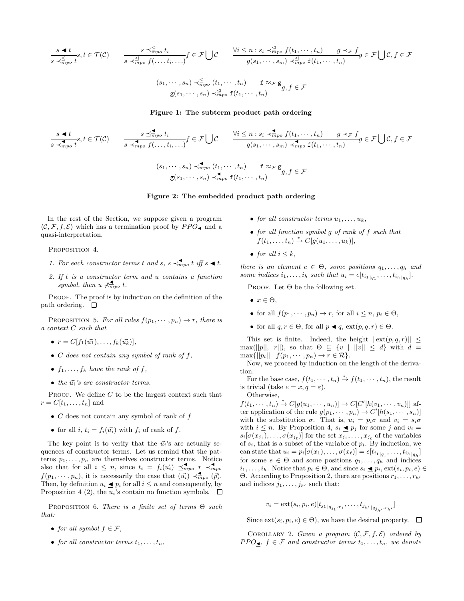$$
\frac{s \blacktriangleleft t}{s \prec_{mpo}^{\preceq}} s, t \in \mathcal{T}(\mathcal{C}) \qquad \frac{s \preceq_{mpo}^{\preceq} t_i}{s \prec_{mpo}^{\preceq}} f(\ldots, t_i, \ldots)} f \in \mathcal{F} \bigcup \mathcal{C} \qquad \frac{\forall i \leq n : s_i \prec_{mpo}^{\preceq} f(t_1, \ldots, t_n)}{g(s_1, \ldots, s_m) \prec_{mpo}^{\preceq} f(t_1, \ldots, t_n)} g \preceq_{\mathcal{F}} f(\mathcal{C}) f \in \mathcal{F}
$$

$$
\frac{(s_1, \dots, s_n) \prec_{mpo}^{\preceq} (t_1, \dots, t_n)}{g(s_1, \dots, s_n) \prec_{mpo}^{\preceq} f(t_1, \dots, t_n)} g, f \in \mathcal{F}
$$

#### Figure 1: The subterm product path ordering

$$
\frac{s \blacktriangleleft t}{s \prec_{mpo}^{\blacktriangleleft} t} s, t \in \mathcal{T}(\mathcal{C}) \qquad \frac{s \preceq_{mpo}^{\blacktriangleleft} t_i}{s \prec_{mpo}^{\blacktriangleleft} f(\ldots, t_i, \ldots)} f \in \mathcal{F} \bigcup \mathcal{C} \qquad \frac{\forall i \leq n : s_i \prec_{mpo}^{\blacktriangleleft} f(t_1, \ldots, t_n)}{g(s_1, \ldots, s_m) \prec_{mpo}^{\blacktriangleleft} f(t_1, \ldots, t_n)} g \in \mathcal{F} \bigcup \mathcal{C}, f \in \mathcal{F}
$$

$$
\frac{(s_1, \dots, s_n) \prec^{\blacktriangleleft}_{mpo} (t_1, \dots, t_n) \qquad \mathbf{f} \approx_{\mathcal{F}} \mathbf{g}}{\mathbf{g}(s_1, \dots, s_n) \prec^{\blacktriangleleft}_{mpo} \mathbf{f}(t_1, \dots, t_n)} g, f \in \mathcal{F}
$$

#### Figure 2: The embedded product path ordering

In the rest of the Section, we suppose given a program  $\langle \mathcal{C}, \mathcal{F}, f, \mathcal{E} \rangle$  which has a termination proof by  $PPO_{\blacksquare}$  and a quasi-interpretation.

PROPOSITION 4.

- 1. For each constructor terms t and s,  $s \prec_{mpo}^{\blacktriangleleft} t$  iff  $s \blacktriangleleft t$ .
- 2. If t is a constructor term and u contains a function symbol, then  $u \nmid_{mpo}^{\blacktriangleleft} t$ .

PROOF. The proof is by induction on the definition of the path ordering.  $\square$ 

PROPOSITION 5. For all rules  $f(p_1, \dots, p_n) \to r$ , there is a context C such that

- $r = C[f_1(\vec{u_1}), \ldots, f_k(\vec{u_k})],$
- $\bullet$  C does not contain any symbol of rank of f,
- $f_1, \ldots, f_k$  have the rank of f,
- the  $\vec{u_i}$ 's are constructor terms.

PROOF. We define  $C$  to be the largest context such that  $r = C[t_1, \ldots, t_n]$  and

- $\bullet$  C does not contain any symbol of rank of f
- for all i,  $t_i = f_i(\vec{u_i})$  with  $f_i$  of rank of f.

The key point is to verify that the  $\vec{u_i}$ 's are actually sequences of constructor terms. Let us remind that the patterns  $p_1, \ldots, p_n$  are themselves constructor terms. Notice also that for all  $i \leq n$ , since  $t_i = f_i(\vec{u_i}) \leq \frac{1}{m} p_o$   $r \leq \frac{1}{m} p_o$  $f(p_1, \dots, p_n)$ , it is necessarily the case that  $(\vec{u_i}) \prec^{\blacktriangle} \overline{m_{po}}(\vec{p}).$ Then, by definition  $u_i \trianglelefteq p_i$  for all  $i \leq n$  and consequently, by Proposition 4 (2), the  $u_i$ 's contain no function symbols.  $\Box$ 

PROPOSITION 6. There is a finite set of terms  $\Theta$  such that:

- for all symbol  $f \in \mathcal{F}$ ,
- for all constructor terms  $t_1, \ldots, t_n$ ,
- for all constructor terms  $u_1, \ldots, u_k$ ,
- for all function symbol g of rank of f such that  $f(t_1,\ldots,t_n)\stackrel{*}{\rightarrow}C[g(u_1,\ldots,u_k)],$
- for all  $i \leq k$ ,

there is an element  $e \in \Theta$ , some positions  $q_1, \ldots, q_h$  and some indices  $i_1, \ldots, i_h$  such that  $u_i = e[t_{i_1}|_{q_1}, \ldots, t_{i_h}|_{q_h}]$ .

PROOF. Let  $\Theta$  be the following set.

- $x \in \Theta$ .
- for all  $f(p_1, \dots, p_n) \to r$ , for all  $i \leq n, p_i \in \Theta$ ,
- for all  $q, r \in \Theta$ , for all  $p \blacktriangleleft q$ ,  $ext(p, q, r) \in \Theta$ .

This set is finite. Indeed, the height  $||\text{ext}(p, q, r)|| \le$  $\max(||p||, ||r||)$ , so that  $\Theta \subseteq \{v \mid ||v|| \leq d\}$  with  $d =$  $\max\{||p_i|| \mid f(p_1, \cdots, p_n) \to r \in \mathcal{R}\}.$ 

Now, we proceed by induction on the length of the derivation.

For the base case,  $f(t_1, \dots, t_n) \stackrel{*}{\rightarrow} f(t_1, \dots, t_n)$ , the result is trivial (take  $e = x, q = \varepsilon$ ).

Otherwise,

 $f(t_1, \dots, t_n) \stackrel{*}{\rightarrow} C[g(u_1, \dots, u_n)] \rightarrow C[C'[h(v_1, \dots, v_n)]]$  after application of the rule  $g(p_1, \dots, p_n) \to C'[h(s_1, \dots, s_n)]$ with the substitution  $\sigma$ . That is,  $u_i = p_i \sigma$  and  $v_i = s_i \sigma$ with  $i \leq n$ . By Proposition 4,  $s_i \trianglelefteq p_j$  for some j and  $v_i =$  $s_i[\sigma(x_{j_1}), \ldots, \sigma(x_{j_\ell})]$  for the set  $x_{j_1}, \ldots, x_{j_\ell}$  of the variables of  $s_i$ , that is a subset of the variable of  $p_i$ . By induction, we can state that  $u_i = p_i[\sigma(x_1), \dots, \sigma(x_\ell)] = e[t_{i_1}|_{q_1}, \dots, t_{i_h}|_{q_h}]$ for some  $e \in \Theta$  and some positions  $q_1, \ldots, q_h$  and indices  $i_1, \ldots, i_h$ . Notice that  $p_i \in \Theta$ , and since  $s_i \triangleleft p_i$ ,  $ext(s_i, p_i, e) \in$ Θ. According to Proposition 2, there are positions  $r_1, \ldots, r_h$ and indices  $j_1, \ldots, j_{h'}$  such that:

$$
v_i = \text{ext}(s_i, p_i, e) [t_{j_1}|_{q_{j_1}, r_1}, \dots, t_{j_{h'}|_{q_{j_{h'}}, r_{h'}}}]
$$

Since  $ext(s_i, p_i, e) \in \Theta$ , we have the desired property.  $\Box$ 

COROLLARY 2. Given a program  $\langle \mathcal{C}, \mathcal{F}, f, \mathcal{E} \rangle$  ordered by  $PPO_{\blacktriangleleft}, f \in \mathcal{F}$  and constructor terms  $t_1, \ldots, t_n$ , we denote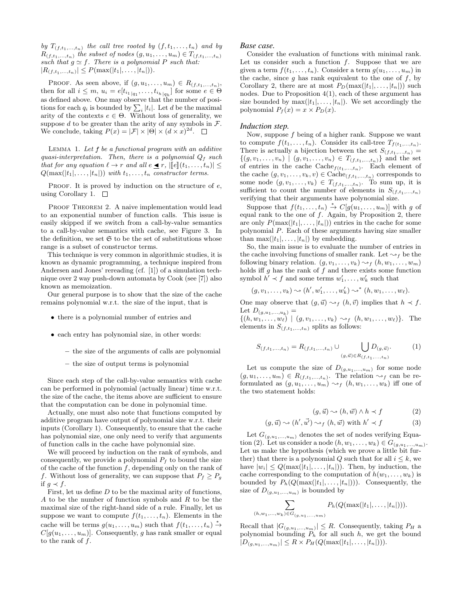by  $T_{(f,t_1,...,t_n)}$  the call tree rooted by  $(f,t_1,...,t_n)$  and by  $R_{(f,t_1,...,t_n)}$  the subset of nodes  $(g, u_1,..., u_m) \in T_{(f,t_1,...,t_n)}$ such that  $g \simeq f$ . There is a polynomial P such that:  $|R_{(f,t_1,...,t_n)}| \leq P(\max(|t_1|,...,|t_n|)).$ 

PROOF. As seen above, if  $(g, u_1, \ldots, u_m) \in R_{(f,t_1,\ldots,t_n)}$ , then for all  $i \leq m$ ,  $u_i = e[t_{i_1|q_1}, \ldots, t_{i_h|q_h}]$  for some  $e \in \Theta$ as defined above. One may observe that the number of positions for each  $q_i$  is bounded by  $\sum_i |t_i|$ . Let d be the maximal arity of the contexts  $e \in \Theta$ . Without loss of generality, we suppose d to be greater than the arity of any symbols in  $\mathcal{F}$ . We conclude, taking  $P(x) = |\mathcal{F}| \times |\Theta| \times (d \times x)^{2d}$ .

LEMMA 1. Let  $f$  be a functional program with an additive quasi-interpretation. Then, there is a polynomial  $Q_f$  such that for any equation  $\ell \to r$  and all  $e \triangleleft r$ ,  $\|\llbracket e \rrbracket(t_1, \ldots, t_n)\| \leq$  $Q(\max(|t_1|, \ldots, |t_n|))$  with  $t_1, \ldots, t_n$  constructor terms.

PROOF. It is proved by induction on the structure of  $e$ , using Corollary 1.  $\square$ 

PROOF THEOREM 2. A naive implementation would lead to an exponential number of function calls. This issue is easily skipped if we switch from a call-by-value semantics to a call-by-value semantics with cache, see Figure 3. In the definition, we set  $\mathfrak S$  to be the set of substitutions whose range is a subset of constructor terms.

This technique is very common in algorithmic studies, it is known as dynamic programming, a technique inspired from Andersen and Jones' rereading (cf. [1]) of a simulation technique over 2 way push-down automata by Cook (see [7]) also known as memoization.

Our general purpose is to show that the size of the cache remains polynomial w.r.t. the size of the input, that is

- there is a polynomial number of entries and
- each entry has polynomial size, in other words:
	- the size of the arguments of calls are polynomial
	- the size of output terms is polynomial

Since each step of the call-by-value semantics with cache can be performed in polynomial (actually linear) time w.r.t. the size of the cache, the items above are sufficient to ensure that the computation can be done in polynomial time.

Actually, one must also note that functions computed by additive program have output of polynomial size w.r.t. their inputs (Corollary 1). Consequently, to ensure that the cache has polynomial size, one only need to verify that arguments of function calls in the cache have polynomial size.

We will proceed by induction on the rank of symbols, and consequently, we provide a polynomial  $P_f$  to bound the size of the cache of the function  $f$ , depending only on the rank of f. Without loss of generality, we can suppose that  $P_f \geq P_g$ if  $g \prec f$ .

First, let us define  $D$  to be the maximal arity of functions, A to be the number of function symbols and R to be the maximal size of the right-hand side of a rule. Finally, let us suppose we want to compute  $f(t_1, \ldots, t_n)$ . Elements in the cache will be terms  $g(u_1, \ldots, u_m)$  such that  $f(t_1, \ldots, t_n) \stackrel{*}{\rightarrow}$  $C[g(u_1, \ldots, u_m)]$ . Consequently, g has rank smaller or equal to the rank of  $f$ .

#### *Base case.*

Consider the evaluation of functions with minimal rank. Let us consider such a function  $f$ . Suppose that we are given a term  $f(t_1, \ldots, t_n)$ . Consider a term  $g(u_1, \ldots, u_m)$  in the cache, since q has rank equivalent to the one of  $f$ , by Corollary 2, there are at most  $P_D(\max(|t_1|, \ldots, |t_n|))$  such nodes. Due to Proposition 4(1), each of these argument has size bounded by  $\max(|t_1|, \ldots, |t_n|)$ . We set accordingly the polynomial  $P_f(x) = x \times P_D(x)$ .

#### *Induction step.*

Now, suppose f being of a higher rank. Suppose we want to compute  $f(t_1, \ldots, t_n)$ . Consider its call-tree  $T_{f(t_1,\ldots,t_n)}$ . There is actually a bijection between the set  $S_{(f,t_1,...,t_n)} =$  $\{(g, v_1, \ldots, v_n) \mid (g, v_1, \ldots, v_n) \in T_{(f,t_1,\ldots,t_n)}\}\$  and the set of entries in the cache  $\text{Cache}_{f(t_1,...,t_n)}$ . Each element of the cache  $(g, v_1, \ldots, v_k, v) \in \text{Cache}_{(f,t_1,\ldots,t_n)}$  corresponds to some node  $(g, v_1, \ldots, v_k) \in T_{(f,t_1,\ldots,t_n)}$ . To sum up, it is sufficient to count the number of elements in  $S_{(f,t_1,...,t_n)}$ verifying that their arguments have polynomial size.

Suppose that  $f(t_1,\ldots,t_n) \stackrel{*}{\rightarrow} C[g(u_1,\ldots,u_m)]$  with g of equal rank to the one of  $f$ . Again, by Proposition 2, there are only  $P(\max(|t_1|, \ldots, |t_n|))$  entries in the cache for some polynomial P. Each of these arguments having size smaller than  $\max(|t_1|, \ldots, |t_n|)$  by embedding.

So, the main issue is to evaluate the number of entries in the cache involving functions of smaller rank. Let  $\rightsquigarrow_f$  be the following binary relation.  $(g, v_1, \ldots, v_k) \sim_f (h, w_1, \ldots, w_m)$ holds iff  $g$  has the rank of  $f$  and there exists some function symbol  $h' \prec f$  and some terms  $w'_1, \ldots, w'_k$  such that

$$
(g, v_1, \ldots, v_k) \sim (h', w'_1, \ldots, w'_k) \sim^* (h, w_1, \ldots, w_\ell).
$$

One may observe that  $(g, \vec{u}) \leadsto_f (h, \vec{v})$  implies that  $h \prec f$ . Let  $D_{(g,u_1,...,u_k)} =$ 

 $\{(h, w_1, \ldots, w_\ell) \mid (g, v_1, \ldots, v_k) \leadsto_f (h, w_1, \ldots, w_\ell)\}.$  The elements in  $S_{(f,t_1,...,t_n)}$  splits as follows:

$$
S_{(f,t_1,...,t_n)} = R_{(f,t_1,...,t_n)} \cup \bigcup_{(g,\vec{u}) \in R_{(f,t_1,...,t_n)}} D_{(g,\vec{u})}.
$$
 (1)

Let us compute the size of  $D_{(g,u_1,...,u_m)}$  for some node  $(g, u_1, \ldots, u_m) \in R_{(f,t_1,\ldots,t_n)}$ . The relation  $\leadsto_f$  can be reformulated as  $(g, u_1, \ldots, u_m) \rightsquigarrow_f (h, w_1, \ldots, w_k)$  iff one of the two statement holds:

$$
(g, \vec{u}) \sim (h, \vec{w}) \wedge h \prec f \tag{2}
$$

$$
(g, \vec{u}) \sim (h', \vec{u'}) \sim_f (h, \vec{w}) \text{ with } h' \prec f \tag{3}
$$

Let  $G_{(g,u_1,...,u_m)}$  denotes the set of nodes verifying Equation (2). Let us consider a node  $(h, w_1, \ldots, w_k) \in G_{(g, u_1, \ldots, u_m)}$ . Let us make the hypothesis (which we prove a little bit further) that there is a polynomial Q such that for all  $i \leq k$ , we have  $|w_i| \leq Q(\max(|t_1|, \ldots, |t_n|))$ . Then, by induction, the cache corresponding to the computation of  $h(w_1, \ldots, w_k)$  is bounded by  $P_h(Q(\max(|t_1|, \ldots, |t_n|)))$ . Consequently, the size of  $D_{(g,u_1,...,u_m)}$  is bounded by

$$
\sum_{(h,w_1,...,w_k)\in G_{(g,u_1,...,u_m)}} P_h(Q(\max(|t_1|,...,|t_n|))).
$$

Recall that  $|G_{(g,u_1,...,u_m)}| \leq R$ . Consequently, taking  $P_H$  a polynomial bounding  $P_h$  for all such h, we get the bound  $|D_{(g,u_1,...,u_m)}| \leq R \times P_H(Q(\max(|t_1|,...,|t_n|))).$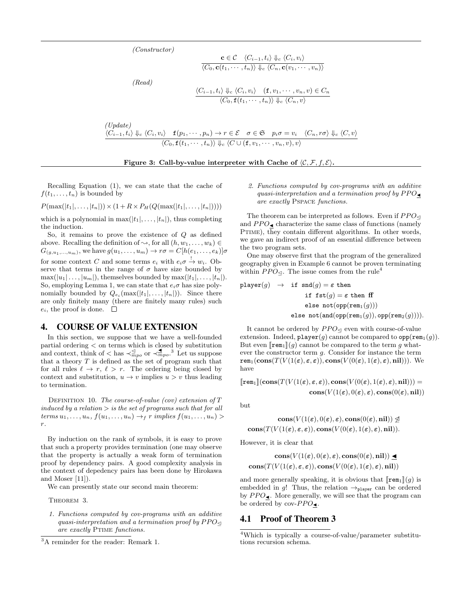(Constructor)

\n
$$
\mathbf{c} \in \mathcal{C} \quad \langle C_{i-1}, t_i \rangle \Downarrow_c \langle C_i, v_i \rangle
$$
\n
$$
\overline{\langle C_0, \mathbf{c}(t_1, \dots, t_n) \rangle} \Downarrow_c \langle C_n, \mathbf{c}(v_1, \dots, v_n) \rangle
$$
\n(Read)

\n
$$
\frac{\langle C_{i-1}, t_i \rangle \Downarrow_c \langle C_i, v_i \rangle \quad (\mathbf{f}, v_1, \dots, v_n, v) \in C_n}{\langle C_0, \mathbf{f}(t_1, \dots, t_n) \rangle \Downarrow_c \langle C_n, v \rangle}
$$
\n(Update)

\n
$$
\frac{\langle C_{i-1}, t_i \rangle \Downarrow_c \langle C_i, v_i \rangle \quad \mathbf{f}(p_1, \dots, p_n) \to r \in \mathcal{E} \quad \sigma \in \mathfrak{S} \quad p_i \sigma = v_i \quad \langle C_n, r \sigma \rangle \Downarrow_c \langle C, v \rangle}{\langle C_0, \mathbf{f}(t_1, \dots, t_n) \rangle \Downarrow_c \langle C \cup (\mathbf{f}, v_1, \dots, v_n, v), v \rangle}
$$



Recalling Equation (1), we can state that the cache of  $f(t_1,\ldots,t_n)$  is bounded by

$$
P(\max(|t_1|,\ldots,|t_n|))\times(1+R\times P_H(Q(\max(|t_1|,\ldots,|t_n|))))
$$

which is a polynomial in  $\max(|t_1|, \ldots, |t_n|)$ , thus completing the induction.

So, it remains to prove the existence of  $Q$  as defined above. Recalling the definition of  $\leadsto$ , for all  $(h, w_1, \ldots, w_k) \in$  $G_{(g,u_1,...,u_m)}$ , we have  $g(u_1,...,u_m) \to r\sigma = C[h(e_1,...,e_k)]\sigma$ for some context C and some terms  $e_i$  with  $e_i \sigma \stackrel{!}{\rightarrow} w_i$ . Observe that terms in the range of  $\sigma$  have size bounded by  $\max(|u_1| \ldots, |u_m|)$ , themselves bounded by  $\max(|t_1|, \ldots, |t_n|)$ . So, employing Lemma 1, we can state that  $e_i\sigma$  has size polynomially bounded by  $Q_{e_i}(\max(|t_1|, \ldots, |t_n|))$ . Since there are only finitely many (there are finitely many rules) such  $e_i$ , the proof is done.  $\square$ 

#### 4. COURSE OF VALUE EXTENSION

In this section, we suppose that we have a well-founded partial ordering < on terms which is closed by substitution and context, think of  $\lt$  has  $\lt^{\leq}_{mpo}$  or  $\lt^{\leq}_{mpo}$ .<sup>3</sup> Let us suppose that a theory  $T$  is defined as the set of program such that for all rules  $\ell \to r$ ,  $\ell > r$ . The ordering being closed by context and substitution,  $u \to v$  implies  $u > v$  thus leading to termination.

DEFINITION 10. The course-of-value (cov) extension of  $T$ induced by a relation  $>$  is the set of programs such that for all terms  $u_1, \ldots, u_n$ ,  $f(u_1, \ldots, u_n) \rightarrow_f r$  implies  $f(u_1, \ldots, u_n)$ r.

By induction on the rank of symbols, it is easy to prove that such a property provides termination (one may observe that the property is actually a weak form of termination proof by dependency pairs. A good complexity analysis in the context of depedency pairs has been done by Hirokawa and Moser [11]).

We can presently state our second main theorem:

THEOREM 3.

1. Functions computed by cov-programs with an additive quasi-interpretation and a termination proof by  $PPO\triangleleft$ are exactly PTIME functions.

2. Functions computed by cov-programs with an additive quasi-interpretation and a termination proof by  $PPO_{\blacktriangleleft}$ are exactly Pspace functions.

The theorem can be interpreted as follows. Even if  $PPO\triangleleft$ and  $PPO_{\blacktriangleleft}$  characterize the same class of functions (namely Ptime), they contain different algorithms. In other words, we gave an indirect proof of an essential difference between the two program sets.

One may observe first that the program of the generalized geography given in Example 6 cannot be proven terminating within  $PPO_{\leq}$ . The issue comes from the rule<sup>4</sup>

$$
\begin{array}{lcl} \mathtt{player}(g) & \to & \mathtt{if} \ \mathtt{snd}(g) = \varepsilon \ \mathtt{then} \\ & \mathtt{if} \ \mathtt{fst}(g) = \varepsilon \ \mathtt{then} \ \mathtt{ff} \\ & \mathtt{else} \ \mathtt{not}(\mathtt{opp}(\mathtt{rem}_1(g))) \\ & \mathtt{else} \ \mathtt{not}(\mathtt{and}(\mathtt{opp}(\mathtt{rem}_1(g)), \mathtt{opp}(\mathtt{rem}_2(g)))) . \end{array}
$$

It cannot be ordered by  ${\cal PPO}_\unlhd$  even with course-of-value extension. Indeed,  $\texttt{player}(g)$  cannot be compared to  $\texttt{opp}(\texttt{rem}_1(g))$ . But even  $\lbrack \lbrack \mathsf{rem}_1 \rbrack \rbrack(g)$  cannot be compared to the term g whatever the constructor term g. Consider for instance the term  $\texttt{rem}_1(\textbf{cons}(T(V(1(\varepsilon),\varepsilon,\varepsilon)),\textbf{cons}(V(0(\varepsilon),1(\varepsilon),\varepsilon),\textbf{nil}))).$  We have

$$
[\![\texttt{rem}_1]\!](\texttt{cons}(T(V(1(\varepsilon),\varepsilon,\varepsilon)),\texttt{cons}(V(0(\varepsilon),1(\varepsilon),\varepsilon),\textbf{nil})))\! = \\ \texttt{cons}(V(1(\varepsilon),0(\varepsilon),\varepsilon),\texttt{cons}(0(\varepsilon),\textbf{nil}))
$$

but

$$
\mathbf{cons}(V(1(\varepsilon),0(\varepsilon),\varepsilon),\mathbf{cons}(0(\varepsilon),\mathbf{nil})) \ntrianglelefteq \\ \mathbf{cons}(T(V(1(\varepsilon),\varepsilon,\varepsilon)),\mathbf{cons}(V(0(\varepsilon),1(\varepsilon),\varepsilon),\mathbf{nil})).
$$

However, it is clear that

$$
\cos(V(1(\varepsilon), 0(\varepsilon), \varepsilon), \cos(0(\varepsilon), \text{nil})) \le
$$
  

$$
\cos(T(V(1(\varepsilon), \varepsilon, \varepsilon)), \cos(V(0(\varepsilon), 1(\varepsilon), \varepsilon), \text{nil}))
$$

and more generally speaking, it is obvious that  $\llbracket \text{rem}_1 \rrbracket(g)$  is embedded in g! Thus, the relation  $\rightarrow_{\text{player}}$  can be ordered by  $\mathit{PPO}_{\blacktriangle}$ . More generally, we will see that the program can be ordered by cov- $PPO_{\blacktriangleleft}$ .

#### 4.1 Proof of Theorem 3

<sup>3</sup>A reminder for the reader: Remark 1.

<sup>4</sup>Which is typically a course-of-value/parameter substitutions recursion schema.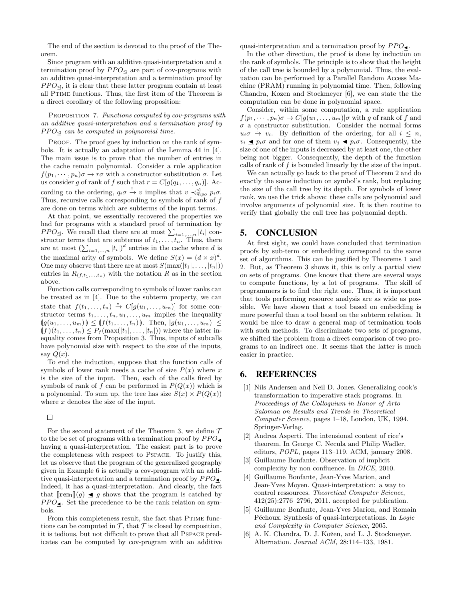The end of the section is devoted to the proof of the Theorem.

Since program with an additive quasi-interpretation and a termination proof by  $PPO\triangleleft$  are part of cov-programs with an additive quasi-interpretation and a termination proof by  $PPO\triangleleft$ , it is clear that these latter program contain at least all Ptime functions. Thus, the first item of the Theorem is a direct corollary of the following proposition:

PROPOSITION 7. Functions computed by cov-programs with an additive quasi-interpretation and a termination proof by  $PPO_{\lhd}$  can be computed in polynomial time.

PROOF. The proof goes by induction on the rank of symbols. It is actually an adaptation of the Lemma 44 in [4]. The main issue is to prove that the number of entries in the cache remain polynomial. Consider a rule application  $f(p_1, \dots, p_n)\sigma \to r\sigma$  with a constructor substitution  $\sigma$ . Let us consider g of rank of f such that  $r = C[g(q_1, \ldots, q_n)]$ . According to the ordering,  $q_i \sigma \stackrel{!}{\rightarrow} v$  implies that  $v \prec_{mpo}^{\leq} p_i \sigma$ . Thus, recursive calls corresponding to symbols of rank of  $f$ are done on terms which are subterms of the input terms.

At that point, we essentially recovered the properties we had for programs with a standard proof of termination by  $PPO_{\leq}$ . We recall that there are at most  $\sum_{i=1,...,n} |t_i|$  constructor terms that are subterms of  $t_1, \ldots, t_n$ . Thus, there are at most  $(\sum_{i=1,...,n} |t_i|)^d$  entries in the cache where d is the maximal arity of symbols. We define  $S(x) = (d \times x)^d$ . One may observe that there are at most  $S(\max(|t_1|, \ldots, |t_n|))$ entries in  $R_{(f,t_1,...,t_n)}$  with the notation R as in the section above.

Function calls corresponding to symbols of lower ranks can be treated as in [4]. Due to the subterm property, we can state that  $f(t_1, \ldots, t_n) \stackrel{*}{\rightarrow} C[g(u_1, \ldots, u_m)]$  for some constructor terms  $t_1, \ldots, t_n, u_1, \ldots, u_m$  implies the inequality  $||g(u_1, \ldots, u_m)|| \leq ||f(t_1, \ldots, t_n)||$ . Then,  $|g(u_1, \ldots, u_m)|| \leq$  $\langle f | f | (t_1, \ldots, t_n) \leq P_f(\max(|t_1|, \ldots, |t_n|))$  where the latter inequality comes from Proposition 3. Thus, inputs of subcalls have polynomial size with respect to the size of the inputs, say  $Q(x)$ .

To end the induction, suppose that the function calls of symbols of lower rank needs a cache of size  $P(x)$  where x is the size of the input. Then, each of the calls fired by symbols of rank of f can be performed in  $P(Q(x))$  which is a polynomial. To sum up, the tree has size  $S(x) \times P(Q(x))$ where x denotes the size of the input.

### $\Box$

For the second statement of the Theorem 3, we define  $\mathcal T$ to the be set of programs with a termination proof by  $PPO_{\blacktriangleleft}$ having a quasi-interpretation. The easiest part is to prove the completeness with respect to Pspace. To justify this, let us observe that the program of the generalized geography given in Example 6 is actually a cov-program with an additive quasi-interpretation and a termination proof by  $PPO_{\blacktriangle}$ . Indeed, it has a quasi-interpretation. And clearly, the fact that  $\llbracket \text{rem}_1 \rrbracket(g) \triangleleft g$  shows that the program is catched by  $PPO_{\blacktriangleleft}$ . Set the precedence to be the rank relation on symbols.

From this completeness result, the fact that PTIME functions can be computed in  $\mathcal{T}$ , that  $\mathcal{T}$  is closed by composition, it is tedious, but not difficult to prove that all Pspace predicates can be computed by cov-program with an additive quasi-interpretation and a termination proof by  $PPO_{\blacktriangle}$ .

In the other direction, the proof is done by induction on the rank of symbols. The principle is to show that the height of the call tree is bounded by a polynomial. Thus, the evaluation can be performed by a Parallel Random Access Machine (PRAM) running in polynomial time. Then, following Chandra, Kozen and Stockmeyer [6], we can state the the computation can be done in polynomial space.

Consider, within some computation, a rule application  $f(p_1, \dots, p_n)\sigma \to C[q(u_1, \dots, u_m)]\sigma$  with g of rank of f and  $\sigma$  a constructor substitution. Consider the normal forms  $u_i\sigma \stackrel{!}{\rightarrow} v_i$ . By definition of the ordering, for all  $i \leq n$ ,  $v_i \triangleq p_i \sigma$  and for one of them  $v_j \triangleleft p_i \sigma$ . Consequently, the size of one of the inputs is decreased by at least one, the other being not bigger. Consequently, the depth of the function calls of rank of  $f$  is bounded linearly by the size of the input.

We can actually go back to the proof of Theorem 2 and do exactly the same induction on symbol's rank, but replacing the size of the call tree by its depth. For symbols of lower rank, we use the trick above: these calls are polynomial and involve arguments of polynomial size. It is then routine to verify that globally the call tree has polynomial depth.

#### 5. CONCLUSION

At first sight, we could have concluded that termination proofs by sub-term or embedding correspond to the same set of algorithms. This can be justified by Theorems 1 and 2. But, as Theorem 3 shows it, this is only a partial view on sets of programs. One knows that there are several ways to compute functions, by a lot of programs. The skill of programmers is to find the right one. Thus, it is important that tools performing resource analysis are as wide as possible. We have shown that a tool based on embedding is more powerful than a tool based on the subterm relation. It would be nice to draw a general map of termination tools with such methods. To discriminate two sets of programs, we shifted the problem from a direct comparison of two programs to an indirect one. It seems that the latter is much easier in practice.

#### 6. REFERENCES

- [1] Nils Andersen and Neil D. Jones. Generalizing cook's transformation to imperative stack programs. In Proceedings of the Colloquium in Honor of Arto Salomaa on Results and Trends in Theoretical Computer Science, pages 1–18, London, UK, 1994. Springer-Verlag.
- [2] Andrea Asperti. The intensional content of rice's theorem. In George C. Necula and Philip Wadler, editors, POPL, pages 113–119. ACM, january 2008.
- [3] Guillaume Bonfante. Observation of implicit complexity by non confluence. In DICE, 2010.
- [4] Guillaume Bonfante, Jean-Yves Marion, and Jean-Yves Moyen. Quasi-interpretation: a way to control ressources. Theoretical Computer Science, 412(25):2776–2796, 2011. accepted for publication.
- [5] Guillaume Bonfante, Jean-Yves Marion, and Romain Péchoux. Synthesis of quasi-interpretations. In Logic and Complexity in Computer Science, 2005.
- [6] A. K. Chandra, D. J. Kožen, and L. J. Stockmeyer. Alternation. Journal ACM, 28:114–133, 1981.